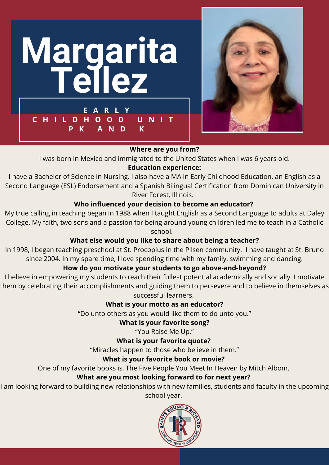



I was born in Mexico and immigrated to the United States when I was 6 years old.

#### **Education experience:**

I have a Bachelor of Science in Nursing. I also have a MA in Early Childhood Education, an English as a Second Language (ESL) Endorsement and a Spanish Bilingual Certification from Dominican University in River Forest, Illinois.

#### **Who influenced your decision to become an educator?**

My true calling in teaching began in 1988 when I taught English as a Second Language to adults at Daley College. My faith, two sons and a passion for being around young children led me to teach in a Catholic school.

#### **What else would you like to share about being a teacher?**

In 1998, I began teaching preschool at St. Procopius in the Pilsen community. I have taught at St. Bruno since 2004. In my spare time, I love spending time with my family, swimming and dancing.

## **How do you motivate your students to go above-and-beyond?**

I believe in empowering my students to reach their fullest potential academically and socially. I motivate them by celebrating their accomplishments and guiding them to persevere and to believe in themselves as successful learners.

#### **What is your motto as an educator?**

"Do unto others as you would like them to do unto you."

#### **What is your favorite song?**

"You Raise Me Up."

#### **What is your favorite quote?**

"Miracles happen to those who believe in them."

#### **What is your favorite book or movie?**

One of my favorite books is, The Five People You Meet In Heaven by Mitch Albom.

#### **What are you most looking forward to for next year?**

I am looking forward to building new relationships with new families, students and faculty in the upcoming school year.

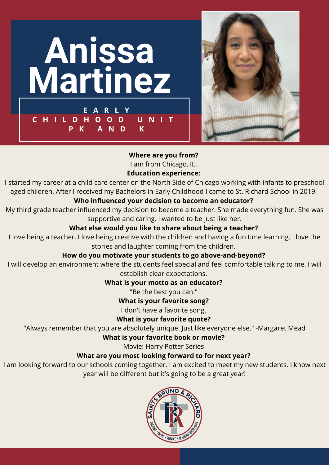



I am from Chicago, IL.

#### **Education experience:**

I started my career at a child care center on the North Side of Chicago working with infants to preschool aged children. After I received my Bachelors in Early Childhood I came to St. Richard School in 2019.

#### **Who influenced your decision to become an educator?**

My third grade teacher influenced my decision to become a teacher. She made everything fun. She was supportive and caring. I wanted to be just like her.

#### **What else would you like to share about being a teacher?**

I love being a teacher, I love being creative with the children and having a fun time learning. I love the stories and laughter coming from the children.

#### **How do you motivate your students to go above-and-beyond?**

I will develop an environment where the students feel special and feel comfortable talking to me. I will establish clear expectations.

#### **What is your motto as an educator?**

"Be the best you can."

# **What is your favorite song?**

I don't have a favorite song.

#### **What is your favorite quote?**

"Always remember that you are absolutely unique. Just like everyone else." -Margaret Mead

### **What is your favorite book or movie?**

Movie: Harry Potter Series

## **What are you most looking forward to for next year?**

I am looking forward to our schools coming together. I am excited to meet my new students. I know next year will be different but it's going to be a great year!

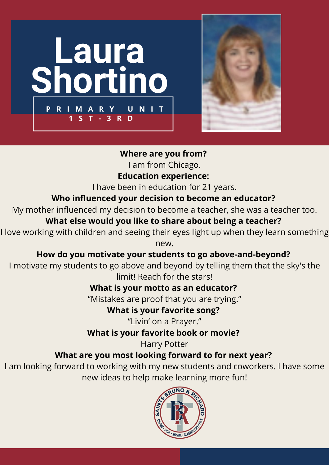



I am from Chicago.

# **Education experience:**

I have been in education for 21 years.

# **Who influenced your decision to become an educator?**

My mother influenced my decision to become a teacher, she was a teacher too.

# **What else would you like to share about being a teacher?**

I love working with children and seeing their eyes light up when they learn something

new.

# **How do you motivate your students to go above-and-beyond?**

I motivate my students to go above and beyond by telling them that the sky's the limit! Reach for the stars!

# **What is your motto as an educator?**

"Mistakes are proof that you are trying."

# **What is your favorite song?**

"Livin' on a Prayer."

# **What is your favorite book or movie?**

Harry Potter

# **What are you most looking forward to for next year?**

I am looking forward to working with my new students and coworkers. I have some new ideas to help make learning more fun!

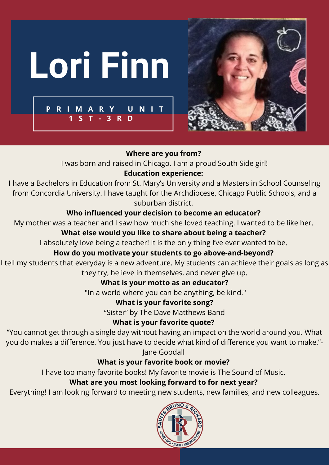



I was born and raised in Chicago. I am a proud South Side girl!

# **Education experience:**

I have a Bachelors in Education from St. Mary's University and a Masters in School Counseling from Concordia University. I have taught for the Archdiocese, Chicago Public Schools, and a suburban district.

# **Who influenced your decision to become an educator?**

My mother was a teacher and I saw how much she loved teaching. I wanted to be like her.

# **What else would you like to share about being a teacher?**

I absolutely love being a teacher! It is the only thing I've ever wanted to be.

# **How do you motivate your students to go above-and-beyond?**

I tell my students that everyday is a new adventure. My students can achieve their goals as long as they try, believe in themselves, and never give up.

# **What is your motto as an educator?**

"In a world where you can be anything, be kind."

# **What is your favorite song?**

"Sister" by The Dave Matthews Band

# **What is your favorite quote?**

"You cannot get through a single day without having an impact on the world around you. What you do makes a difference. You just have to decide what kind of difference you want to make."- Jane Goodall

# **What is your favorite book or movie?**

I have too many favorite books! My favorite movie is The Sound of Music.

# **What are you most looking forward to for next year?**

Everything! I am looking forward to meeting new students, new families, and new colleagues.

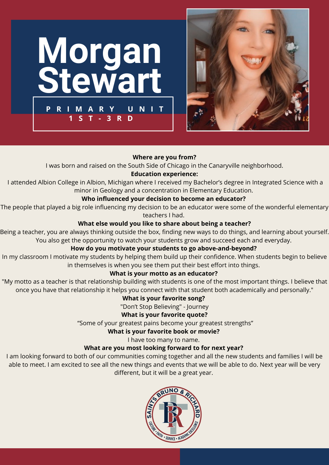



I was born and raised on the South Side of Chicago in the Canaryville neighborhood.

#### **Education experience:**

I attended Albion College in Albion, Michigan where I received my Bachelor's degree in Integrated Science with a minor in Geology and a concentration in Elementary Education.

#### **Who influenced your decision to become an educator?**

The people that played a big role influencing my decision to be an educator were some of the wonderful elementary teachers I had.

#### **What else would you like to share about being a teacher?**

Being a teacher, you are always thinking outside the box, finding new ways to do things, and learning about yourself. You also get the opportunity to watch your students grow and succeed each and everyday.

#### **How do you motivate your students to go above-and-beyond?**

In my classroom I motivate my students by helping them build up their confidence. When students begin to believe in themselves is when you see them put their best effort into things.

#### **What is your motto as an educator?**

"My motto as a teacher is that relationship building with students is one of the most important things. I believe that once you have that relationship it helps you connect with that student both academically and personally."

#### **What is your favorite song?**

"Don't Stop Believing" - Journey

#### **What is your favorite quote?**

"Some of your greatest pains become your greatest strengths"

#### **What is your favorite book or movie?**

I have too many to name.

#### **What are you most looking forward to for next year?**

I am looking forward to both of our communities coming together and all the new students and families I will be able to meet. I am excited to see all the new things and events that we will be able to do. Next year will be very different, but it will be a great year.

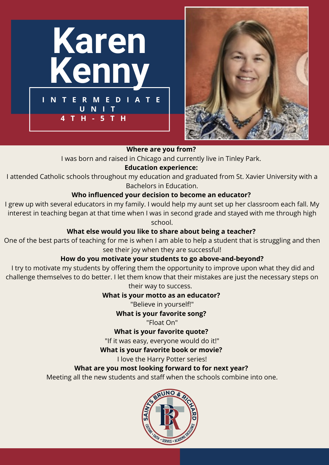



I was born and raised in Chicago and currently live in Tinley Park.

## **Education experience:**

I attended Catholic schools throughout my education and graduated from St. Xavier University with a Bachelors in Education.

#### **Who influenced your decision to become an educator?**

I grew up with several educators in my family. I would help my aunt set up her classroom each fall. My interest in teaching began at that time when I was in second grade and stayed with me through high school.

#### **What else would you like to share about being a teacher?**

One of the best parts of teaching for me is when I am able to help a student that is struggling and then see their joy when they are successful!

## **How do you motivate your students to go above-and-beyond?**

I try to motivate my students by offering them the opportunity to improve upon what they did and challenge themselves to do better. I let them know that their mistakes are just the necessary steps on their way to success.

## **What is your motto as an educator?**

"Believe in yourself!"

## **What is your favorite song?**

"Float On"

**What is your favorite quote?**

"If it was easy, everyone would do it!"

**What is your favorite book or movie?**

I love the Harry Potter series!

# **What are you most looking forward to for next year?**

Meeting all the new students and staff when the schools combine into one.

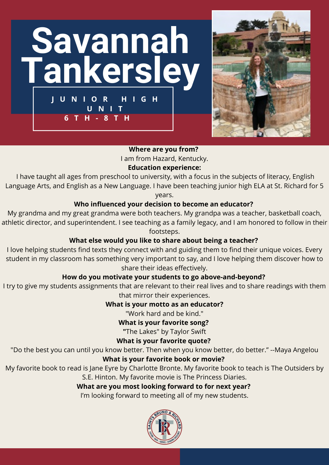



I am from Hazard, Kentucky.

#### **Education experience:**

I have taught all ages from preschool to university, with a focus in the subjects of literacy, English Language Arts, and English as a New Language. I have been teaching junior high ELA at St. Richard for 5

years.

#### **Who influenced your decision to become an educator?**

My grandma and my great grandma were both teachers. My grandpa was a teacher, basketball coach, athletic director, and superintendent. I see teaching as a family legacy, and I am honored to follow in their footsteps.

#### **What else would you like to share about being a teacher?**

I love helping students find texts they connect with and guiding them to find their unique voices. Every student in my classroom has something very important to say, and I love helping them discover how to share their ideas effectively.

#### **How do you motivate your students to go above-and-beyond?**

I try to give my students assignments that are relevant to their real lives and to share readings with them that mirror their experiences.

#### **What is your motto as an educator?**

"Work hard and be kind."

#### **What is your favorite song?**

**"**The Lakes" by Taylor Swift

#### **What is your favorite quote?**

"Do the best you can until you know better. Then when you know better, do better." --Maya Angelou

#### **What is your favorite book or movie?**

My favorite book to read is Jane Eyre by Charlotte Bronte. My favorite book to teach is The Outsiders by S.E. Hinton. My favorite movie is The Princess Diaries.

#### **What are you most looking forward to for next year?**

I'm looking forward to meeting all of my new students.

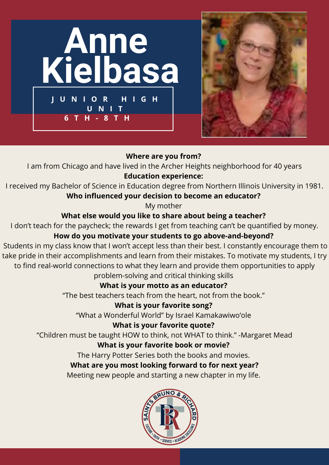



I am from Chicago and have lived in the Archer Heights neighborhood for 40 years **Education experience:**

I received my Bachelor of Science in Education degree from Northern Illinois University in 1981. **Who influenced your decision to become an educator?**

My mother

# **What else would you like to share about being a teacher?**

I don't teach for the paycheck; the rewards I get from teaching can't be quantified by money. **How do you motivate your students to go above-and-beyond?**

Students in my class know that I won't accept less than their best. I constantly encourage them to take pride in their accomplishments and learn from their mistakes. To motivate my students, I try to find real-world connections to what they learn and provide them opportunities to apply problem-solving and critical thinking skills

# **What is your motto as an educator?**

"The best teachers teach from the heart, not from the book."

# **What is your favorite song?**

"What a Wonderful World" by Israel Kamakawiwoʻole

# **What is your favorite quote?**

"Children must be taught HOW to think, not WHAT to think." -Margaret Mead

# **What is your favorite book or movie?**

The Harry Potter Series both the books and movies.

# **What are you most looking forward to for next year?**

Meeting new people and starting a new chapter in my life.